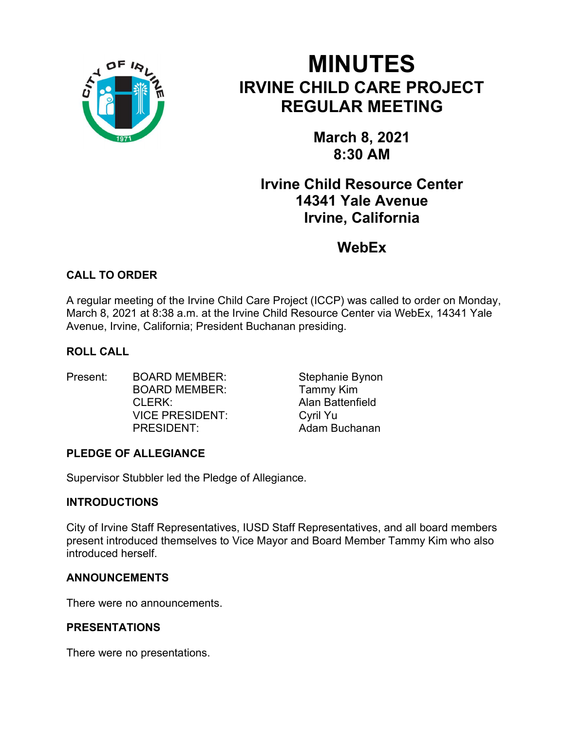

# MINUTES IRVINE CHILD CARE PROJECT REGULAR MEETING

March 8, 2021 8:30 AM

# Irvine Child Resource Center 14341 Yale Avenue Irvine, California

**WebEx** 

# CALL TO ORDER

A regular meeting of the Irvine Child Care Project (ICCP) was called to order on Monday, March 8, 2021 at 8:38 a.m. at the Irvine Child Resource Center via WebEx, 14341 Yale Avenue, Irvine, California; President Buchanan presiding.

# ROLL CALL

Present: BOARD MEMBER: Stephanie Bynon BOARD MEMBER: Tammy Kim CLERK: Alan Battenfield VICE PRESIDENT: Cyril Yu PRESIDENT: Adam Buchanan

# PLEDGE OF ALLEGIANCE

Supervisor Stubbler led the Pledge of Allegiance.

# **INTRODUCTIONS**

City of Irvine Staff Representatives, IUSD Staff Representatives, and all board members present introduced themselves to Vice Mayor and Board Member Tammy Kim who also introduced herself.

# ANNOUNCEMENTS

There were no announcements.

# PRESENTATIONS

There were no presentations.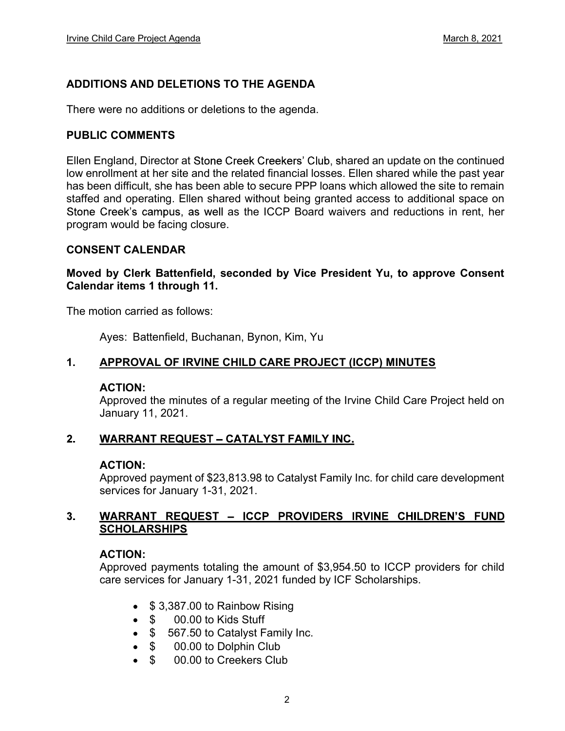# ADDITIONS AND DELETIONS TO THE AGENDA

There were no additions or deletions to the agenda.

#### PUBLIC COMMENTS

Ellen England, Director at Stone Creek Creekers' Club, shared an update on the continued low enrollment at her site and the related financial losses. Ellen shared while the past year has been difficult, she has been able to secure PPP loans which allowed the site to remain staffed and operating. Ellen shared without being granted access to additional space on Stone Creek's campus, as well as the ICCP Board waivers and reductions in rent, her program would be facing closure.

### CONSENT CALENDAR

Moved by Clerk Battenfield, seconded by Vice President Yu, to approve Consent Calendar items 1 through 11.

The motion carried as follows:

Ayes: Battenfield, Buchanan, Bynon, Kim, Yu

#### 1. APPROVAL OF IRVINE CHILD CARE PROJECT (ICCP) MINUTES

#### ACTION:

Approved the minutes of a regular meeting of the Irvine Child Care Project held on January 11, 2021.

#### $2.$ **WARRANT REQUEST - CATALYST FAMILY INC.**

#### ACTION:

Approved payment of \$23,813.98 to Catalyst Family Inc. for child care development services for January 1-31, 2021.

#### $3<sub>1</sub>$ WARRANT REQUEST - ICCP PROVIDERS IRVINE CHILDREN'S FUND **SCHOLARSHIPS**

#### ACTION:

Approved payments totaling the amount of \$3,954.50 to ICCP providers for child care services for January 1-31, 2021 funded by ICF Scholarships.

- $\bullet$  \$ 3,387.00 to Rainbow Rising
- \$ 00.00 to Kids Stuff
- \$ 567.50 to Catalyst Family Inc.
- $\bullet$  \$ 00.00 to Dolphin Club
- \$ 00.00 to Creekers Club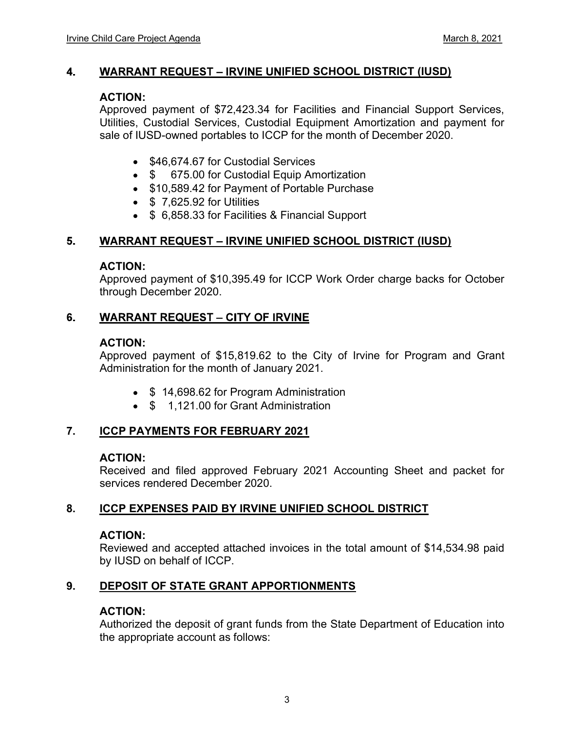#### 4. WARRANT REQUEST - IRVINE UNIFIED SCHOOL DISTRICT (IUSD)

#### ACTION:

Approved payment of \$72,423.34 for Facilities and Financial Support Services, Utilities, Custodial Services, Custodial Equipment Amortization and payment for sale of IUSD-owned portables to ICCP for the month of December 2020.

- \$46,674.67 for Custodial Services
- \$ 675.00 for Custodial Equip Amortization
- \$10,589.42 for Payment of Portable Purchase
- $\bullet$  \$ 7,625.92 for Utilities
- \$ 6,858.33 for Facilities & Financial Support

#### 5. WARRANT REQUEST - IRVINE UNIFIED SCHOOL DISTRICT (IUSD)

### ACTION:

Approved payment of \$10,395.49 for ICCP Work Order charge backs for October through December 2020.

#### 6. **WARRANT REQUEST - CITY OF IRVINE**

### ACTION:

Approved payment of \$15,819.62 to the City of Irvine for Program and Grant Administration for the month of January 2021.

- \$14,698.62 for Program Administration
- \$ 1,121.00 for Grant Administration

# 7. ICCP PAYMENTS FOR FEBRUARY 2021

### ACTION:

Received and filed approved February 2021 Accounting Sheet and packet for services rendered December 2020.

### 8. ICCP EXPENSES PAID BY IRVINE UNIFIED SCHOOL DISTRICT

#### ACTION:

Reviewed and accepted attached invoices in the total amount of \$14,534.98 paid by IUSD on behalf of ICCP.

# 9. DEPOSIT OF STATE GRANT APPORTIONMENTS

### ACTION:

Authorized the deposit of grant funds from the State Department of Education into the appropriate account as follows: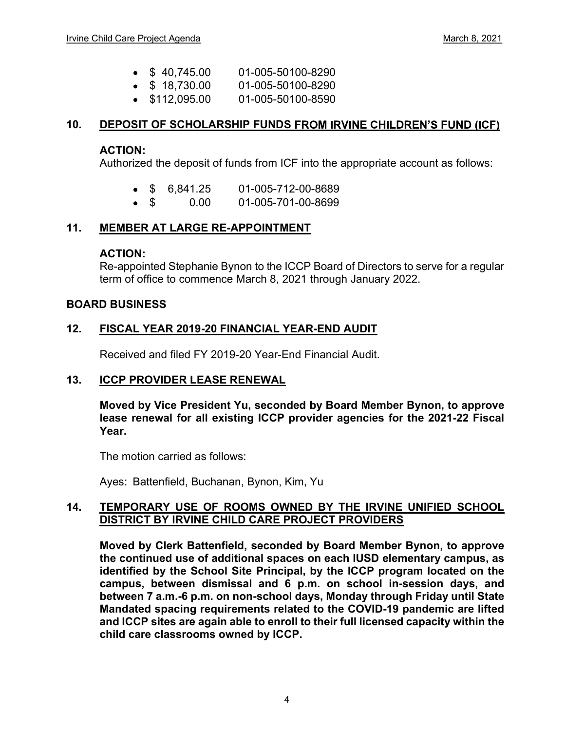- $\bullet$  \$ 40.745.00 01-005-50100-8290
- $\bullet$  \$ 18,730.00 01-005-50100-8290
- $\bullet$  \$112,095.00 01-005-50100-8590

### 10. DEPOSIT OF SCHOLARSHIP FUNDS FROM IRVINE CHILDREN'S FUND (ICF)

#### ACTION:

Authorized the deposit of funds from ICF into the appropriate account as follows:

- \$ 6,841.25 01-005-712-00-8689
- \$ 0.00 01-005-701-00-8699

### 11. MEMBER AT LARGE RE-APPOINTMENT

#### ACTION:

Re-appointed Stephanie Bynon to the ICCP Board of Directors to serve for a regular term of office to commence March 8, 2021 through January 2022.

#### BOARD BUSINESS

### 12. FISCAL YEAR 2019-20 FINANCIAL YEAR-END AUDIT

Received and filed FY 2019-20 Year-End Financial Audit.

### 13. ICCP PROVIDER LEASE RENEWAL

Moved by Vice President Yu, seconded by Board Member Bynon, to approve lease renewal for all existing ICCP provider agencies for the 2021-22 Fiscal Year.

The motion carried as follows:

Ayes: Battenfield, Buchanan, Bynon, Kim, Yu

### 14. TEMPORARY USE OF ROOMS OWNED BY THE IRVINE UNIFIED SCHOOL DISTRICT BY IRVINE CHILD CARE PROJECT PROVIDERS

Moved by Clerk Battenfield, seconded by Board Member Bynon, to approve the continued use of additional spaces on each IUSD elementary campus, as identified by the School Site Principal, by the ICCP program located on the campus, between dismissal and 6 p.m. on school in-session days, and between 7 a.m.-6 p.m. on non-school days, Monday through Friday until State Mandated spacing requirements related to the COVID-19 pandemic are lifted and ICCP sites are again able to enroll to their full licensed capacity within the child care classrooms owned by ICCP.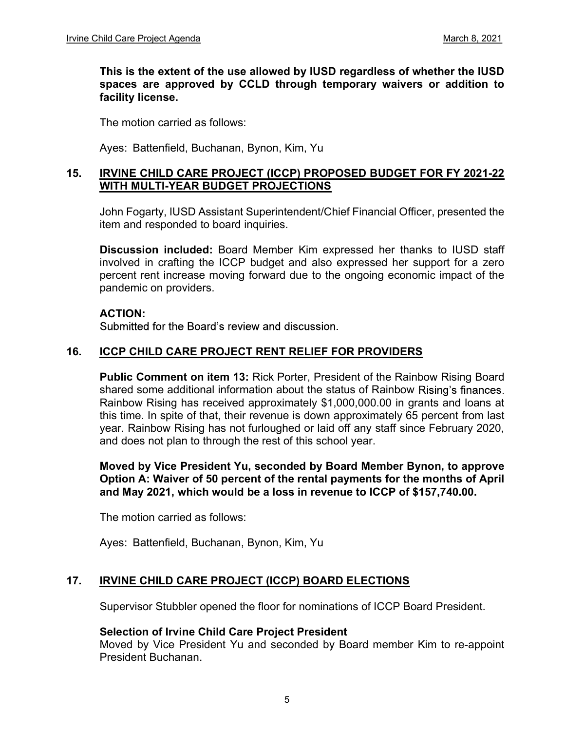This is the extent of the use allowed by IUSD regardless of whether the IUSD spaces are approved by CCLD through temporary waivers or addition to facility license.

The motion carried as follows:

Ayes: Battenfield, Buchanan, Bynon, Kim, Yu

## 15. IRVINE CHILD CARE PROJECT (ICCP) PROPOSED BUDGET FOR FY 2021-22 WITH MULTI-YEAR BUDGET PROJECTIONS

John Fogarty, IUSD Assistant Superintendent/Chief Financial Officer, presented the item and responded to board inquiries.

Discussion included: Board Member Kim expressed her thanks to IUSD staff involved in crafting the ICCP budget and also expressed her support for a zero percent rent increase moving forward due to the ongoing economic impact of the pandemic on providers.

#### ACTION:

Submitted for the Board's review and discussion.

### 16. ICCP CHILD CARE PROJECT RENT RELIEF FOR PROVIDERS

Public Comment on item 13: Rick Porter, President of the Rainbow Rising Board shared some additional information about the status of Rainbow Rising's finances. Rainbow Rising has received approximately \$1,000,000.00 in grants and loans at this time. In spite of that, their revenue is down approximately 65 percent from last year. Rainbow Rising has not furloughed or laid off any staff since February 2020, and does not plan to through the rest of this school year.

Moved by Vice President Yu, seconded by Board Member Bynon, to approve Option A: Waiver of 50 percent of the rental payments for the months of April and May 2021, which would be a loss in revenue to ICCP of \$157,740.00.

The motion carried as follows:

Ayes: Battenfield, Buchanan, Bynon, Kim, Yu

### 17. IRVINE CHILD CARE PROJECT (ICCP) BOARD ELECTIONS

Supervisor Stubbler opened the floor for nominations of ICCP Board President.

### Selection of Irvine Child Care Project President

Moved by Vice President Yu and seconded by Board member Kim to re-appoint President Buchanan.